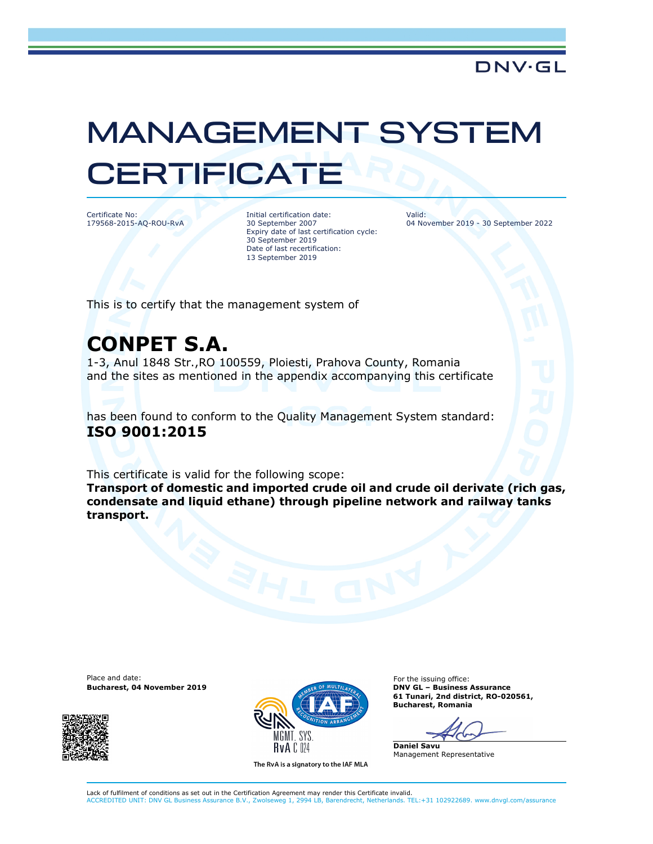## MANAGEMENT SYSTEM **CERTIFICATE**

Certificate No: 179568-2015-AQ-ROU-RvA Initial certification date: 30 September 2007 Expiry date of last certification cycle: 30 September 2019 Date of last recertification: 13 September 2019

Valid: 04 November 2019 - 30 September 2022

This is to certify that the management system of

## CONPET S.A.

1-3, Anul 1848 Str.,RO 100559, Ploiesti, Prahova County, Romania and the sites as mentioned in the appendix accompanying this certificate

has been found to conform to the Quality Management System standard: ISO 9001:2015

This certificate is valid for the following scope:

Transport of domestic and imported crude oil and crude oil derivate (rich gas, condensate and liquid ethane) through pipeline network and railway tanks transport.

Place and date: For the issuing office:





The RvA is a signatory to the IAF MLA

61 Tunari, 2nd district, RO-020561, Bucharest, Romania

Daniel Savu Management Representative

Lack of fulfilment of conditions as set out in the Certification Agreement may render this Certificate invalid. ACCREDITED UNIT: DNV GL Business Assurance B.V., Zwolseweg 1, 2994 LB, Barendrecht, Netherlands. TEL:+31 102922689. www.dnvgl.com/assurance